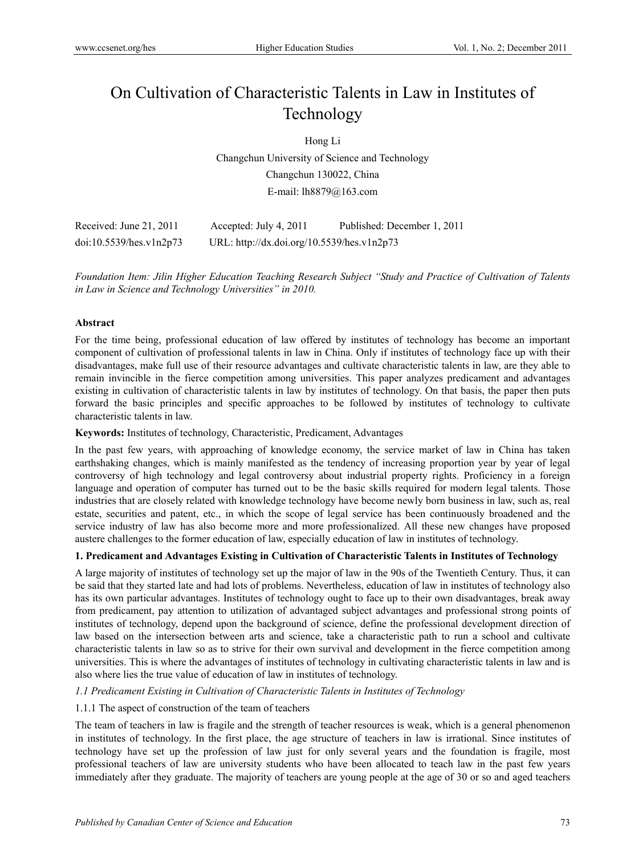# On Cultivation of Characteristic Talents in Law in Institutes of Technology

Hong Li

Changchun University of Science and Technology Changchun 130022, China E-mail: lh8879@163.com

| Received: June 21, 2011 | Accepted: July 4, 2011                     | Published: December 1, 2011 |
|-------------------------|--------------------------------------------|-----------------------------|
| doi:10.5539/hes.v1n2p73 | URL: http://dx.doi.org/10.5539/hes.v1n2p73 |                             |

*Foundation Item: Jilin Higher Education Teaching Research Subject "Study and Practice of Cultivation of Talents in Law in Science and Technology Universities" in 2010.* 

## **Abstract**

For the time being, professional education of law offered by institutes of technology has become an important component of cultivation of professional talents in law in China. Only if institutes of technology face up with their disadvantages, make full use of their resource advantages and cultivate characteristic talents in law, are they able to remain invincible in the fierce competition among universities. This paper analyzes predicament and advantages existing in cultivation of characteristic talents in law by institutes of technology. On that basis, the paper then puts forward the basic principles and specific approaches to be followed by institutes of technology to cultivate characteristic talents in law.

## **Keywords:** Institutes of technology, Characteristic, Predicament, Advantages

In the past few years, with approaching of knowledge economy, the service market of law in China has taken earthshaking changes, which is mainly manifested as the tendency of increasing proportion year by year of legal controversy of high technology and legal controversy about industrial property rights. Proficiency in a foreign language and operation of computer has turned out to be the basic skills required for modern legal talents. Those industries that are closely related with knowledge technology have become newly born business in law, such as, real estate, securities and patent, etc., in which the scope of legal service has been continuously broadened and the service industry of law has also become more and more professionalized. All these new changes have proposed austere challenges to the former education of law, especially education of law in institutes of technology.

## **1. Predicament and Advantages Existing in Cultivation of Characteristic Talents in Institutes of Technology**

A large majority of institutes of technology set up the major of law in the 90s of the Twentieth Century. Thus, it can be said that they started late and had lots of problems. Nevertheless, education of law in institutes of technology also has its own particular advantages. Institutes of technology ought to face up to their own disadvantages, break away from predicament, pay attention to utilization of advantaged subject advantages and professional strong points of institutes of technology, depend upon the background of science, define the professional development direction of law based on the intersection between arts and science, take a characteristic path to run a school and cultivate characteristic talents in law so as to strive for their own survival and development in the fierce competition among universities. This is where the advantages of institutes of technology in cultivating characteristic talents in law and is also where lies the true value of education of law in institutes of technology.

## *1.1 Predicament Existing in Cultivation of Characteristic Talents in Institutes of Technology*

## 1.1.1 The aspect of construction of the team of teachers

The team of teachers in law is fragile and the strength of teacher resources is weak, which is a general phenomenon in institutes of technology. In the first place, the age structure of teachers in law is irrational. Since institutes of technology have set up the profession of law just for only several years and the foundation is fragile, most professional teachers of law are university students who have been allocated to teach law in the past few years immediately after they graduate. The majority of teachers are young people at the age of 30 or so and aged teachers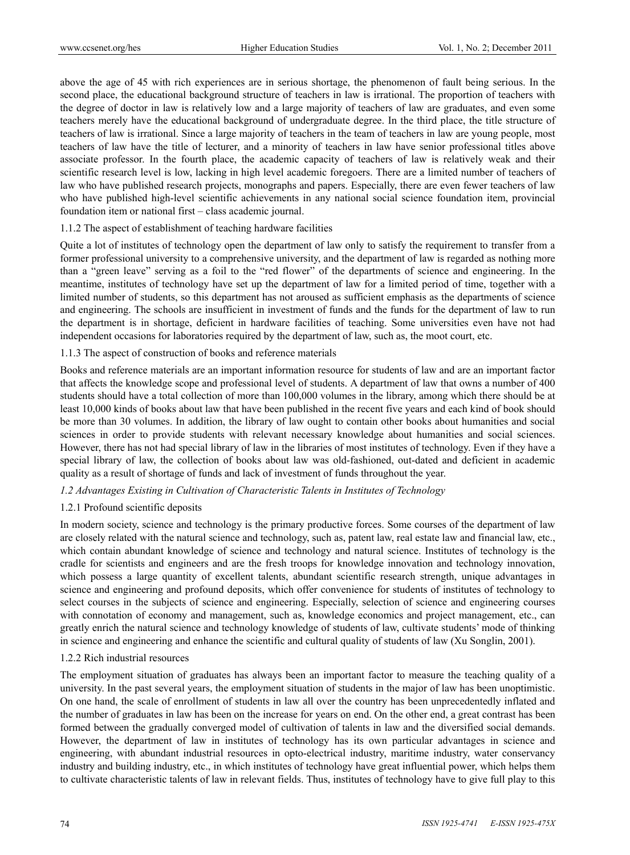above the age of 45 with rich experiences are in serious shortage, the phenomenon of fault being serious. In the second place, the educational background structure of teachers in law is irrational. The proportion of teachers with the degree of doctor in law is relatively low and a large majority of teachers of law are graduates, and even some teachers merely have the educational background of undergraduate degree. In the third place, the title structure of teachers of law is irrational. Since a large majority of teachers in the team of teachers in law are young people, most teachers of law have the title of lecturer, and a minority of teachers in law have senior professional titles above associate professor. In the fourth place, the academic capacity of teachers of law is relatively weak and their scientific research level is low, lacking in high level academic foregoers. There are a limited number of teachers of law who have published research projects, monographs and papers. Especially, there are even fewer teachers of law who have published high-level scientific achievements in any national social science foundation item, provincial foundation item or national first – class academic journal.

#### 1.1.2 The aspect of establishment of teaching hardware facilities

Quite a lot of institutes of technology open the department of law only to satisfy the requirement to transfer from a former professional university to a comprehensive university, and the department of law is regarded as nothing more than a "green leave" serving as a foil to the "red flower" of the departments of science and engineering. In the meantime, institutes of technology have set up the department of law for a limited period of time, together with a limited number of students, so this department has not aroused as sufficient emphasis as the departments of science and engineering. The schools are insufficient in investment of funds and the funds for the department of law to run the department is in shortage, deficient in hardware facilities of teaching. Some universities even have not had independent occasions for laboratories required by the department of law, such as, the moot court, etc.

#### 1.1.3 The aspect of construction of books and reference materials

Books and reference materials are an important information resource for students of law and are an important factor that affects the knowledge scope and professional level of students. A department of law that owns a number of 400 students should have a total collection of more than 100,000 volumes in the library, among which there should be at least 10,000 kinds of books about law that have been published in the recent five years and each kind of book should be more than 30 volumes. In addition, the library of law ought to contain other books about humanities and social sciences in order to provide students with relevant necessary knowledge about humanities and social sciences. However, there has not had special library of law in the libraries of most institutes of technology. Even if they have a special library of law, the collection of books about law was old-fashioned, out-dated and deficient in academic quality as a result of shortage of funds and lack of investment of funds throughout the year.

## *1.2 Advantages Existing in Cultivation of Characteristic Talents in Institutes of Technology*

## 1.2.1 Profound scientific deposits

In modern society, science and technology is the primary productive forces. Some courses of the department of law are closely related with the natural science and technology, such as, patent law, real estate law and financial law, etc., which contain abundant knowledge of science and technology and natural science. Institutes of technology is the cradle for scientists and engineers and are the fresh troops for knowledge innovation and technology innovation, which possess a large quantity of excellent talents, abundant scientific research strength, unique advantages in science and engineering and profound deposits, which offer convenience for students of institutes of technology to select courses in the subjects of science and engineering. Especially, selection of science and engineering courses with connotation of economy and management, such as, knowledge economics and project management, etc., can greatly enrich the natural science and technology knowledge of students of law, cultivate students' mode of thinking in science and engineering and enhance the scientific and cultural quality of students of law (Xu Songlin, 2001).

## 1.2.2 Rich industrial resources

The employment situation of graduates has always been an important factor to measure the teaching quality of a university. In the past several years, the employment situation of students in the major of law has been unoptimistic. On one hand, the scale of enrollment of students in law all over the country has been unprecedentedly inflated and the number of graduates in law has been on the increase for years on end. On the other end, a great contrast has been formed between the gradually converged model of cultivation of talents in law and the diversified social demands. However, the department of law in institutes of technology has its own particular advantages in science and engineering, with abundant industrial resources in opto-electrical industry, maritime industry, water conservancy industry and building industry, etc., in which institutes of technology have great influential power, which helps them to cultivate characteristic talents of law in relevant fields. Thus, institutes of technology have to give full play to this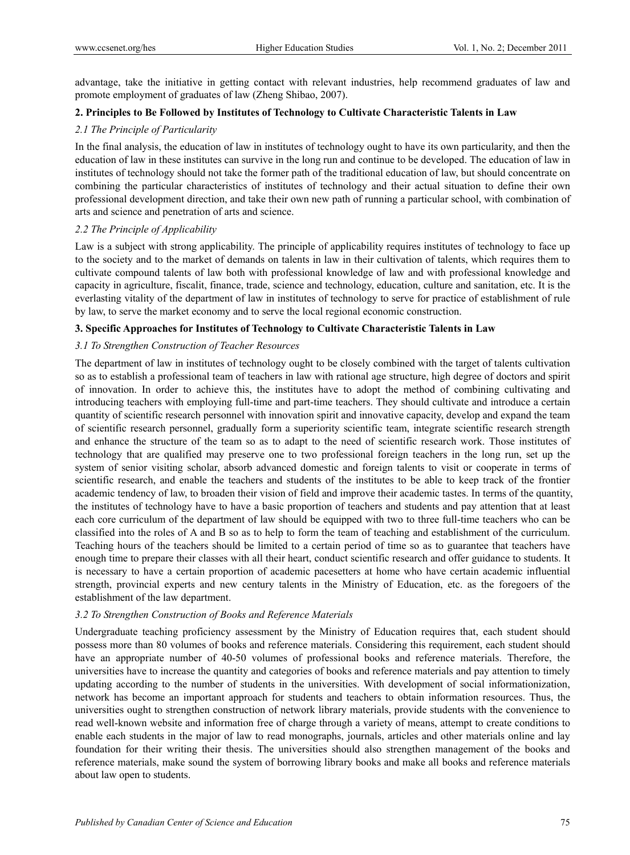advantage, take the initiative in getting contact with relevant industries, help recommend graduates of law and promote employment of graduates of law (Zheng Shibao, 2007).

## **2. Principles to Be Followed by Institutes of Technology to Cultivate Characteristic Talents in Law**

# *2.1 The Principle of Particularity*

In the final analysis, the education of law in institutes of technology ought to have its own particularity, and then the education of law in these institutes can survive in the long run and continue to be developed. The education of law in institutes of technology should not take the former path of the traditional education of law, but should concentrate on combining the particular characteristics of institutes of technology and their actual situation to define their own professional development direction, and take their own new path of running a particular school, with combination of arts and science and penetration of arts and science.

## *2.2 The Principle of Applicability*

Law is a subject with strong applicability. The principle of applicability requires institutes of technology to face up to the society and to the market of demands on talents in law in their cultivation of talents, which requires them to cultivate compound talents of law both with professional knowledge of law and with professional knowledge and capacity in agriculture, fiscalit, finance, trade, science and technology, education, culture and sanitation, etc. It is the everlasting vitality of the department of law in institutes of technology to serve for practice of establishment of rule by law, to serve the market economy and to serve the local regional economic construction.

## **3. Specific Approaches for Institutes of Technology to Cultivate Characteristic Talents in Law**

## *3.1 To Strengthen Construction of Teacher Resources*

The department of law in institutes of technology ought to be closely combined with the target of talents cultivation so as to establish a professional team of teachers in law with rational age structure, high degree of doctors and spirit of innovation. In order to achieve this, the institutes have to adopt the method of combining cultivating and introducing teachers with employing full-time and part-time teachers. They should cultivate and introduce a certain quantity of scientific research personnel with innovation spirit and innovative capacity, develop and expand the team of scientific research personnel, gradually form a superiority scientific team, integrate scientific research strength and enhance the structure of the team so as to adapt to the need of scientific research work. Those institutes of technology that are qualified may preserve one to two professional foreign teachers in the long run, set up the system of senior visiting scholar, absorb advanced domestic and foreign talents to visit or cooperate in terms of scientific research, and enable the teachers and students of the institutes to be able to keep track of the frontier academic tendency of law, to broaden their vision of field and improve their academic tastes. In terms of the quantity, the institutes of technology have to have a basic proportion of teachers and students and pay attention that at least each core curriculum of the department of law should be equipped with two to three full-time teachers who can be classified into the roles of A and B so as to help to form the team of teaching and establishment of the curriculum. Teaching hours of the teachers should be limited to a certain period of time so as to guarantee that teachers have enough time to prepare their classes with all their heart, conduct scientific research and offer guidance to students. It is necessary to have a certain proportion of academic pacesetters at home who have certain academic influential strength, provincial experts and new century talents in the Ministry of Education, etc. as the foregoers of the establishment of the law department.

## *3.2 To Strengthen Construction of Books and Reference Materials*

Undergraduate teaching proficiency assessment by the Ministry of Education requires that, each student should possess more than 80 volumes of books and reference materials. Considering this requirement, each student should have an appropriate number of 40-50 volumes of professional books and reference materials. Therefore, the universities have to increase the quantity and categories of books and reference materials and pay attention to timely updating according to the number of students in the universities. With development of social informationization, network has become an important approach for students and teachers to obtain information resources. Thus, the universities ought to strengthen construction of network library materials, provide students with the convenience to read well-known website and information free of charge through a variety of means, attempt to create conditions to enable each students in the major of law to read monographs, journals, articles and other materials online and lay foundation for their writing their thesis. The universities should also strengthen management of the books and reference materials, make sound the system of borrowing library books and make all books and reference materials about law open to students.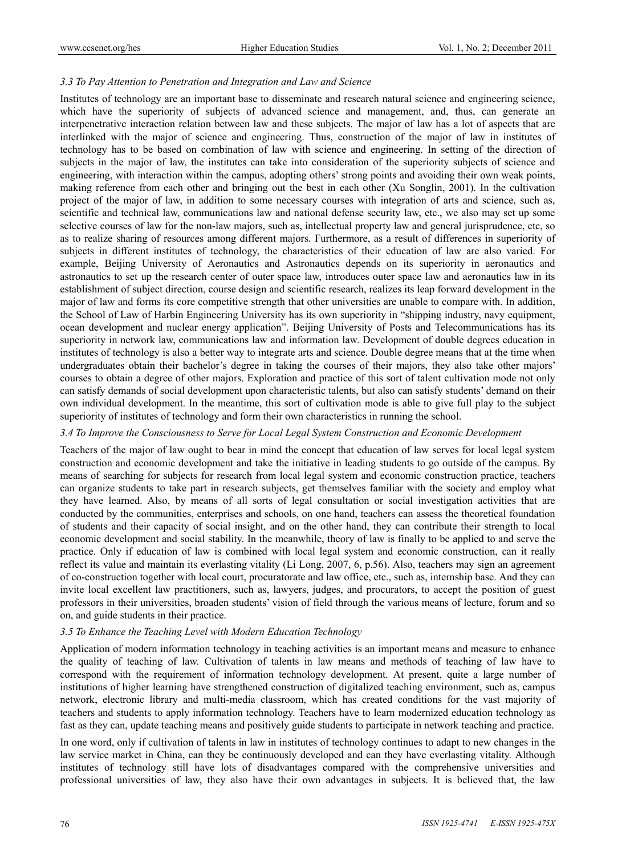## *3.3 To Pay Attention to Penetration and Integration and Law and Science*

Institutes of technology are an important base to disseminate and research natural science and engineering science, which have the superiority of subjects of advanced science and management, and, thus, can generate an interpenetrative interaction relation between law and these subjects. The major of law has a lot of aspects that are interlinked with the major of science and engineering. Thus, construction of the major of law in institutes of technology has to be based on combination of law with science and engineering. In setting of the direction of subjects in the major of law, the institutes can take into consideration of the superiority subjects of science and engineering, with interaction within the campus, adopting others' strong points and avoiding their own weak points, making reference from each other and bringing out the best in each other (Xu Songlin, 2001). In the cultivation project of the major of law, in addition to some necessary courses with integration of arts and science, such as, scientific and technical law, communications law and national defense security law, etc., we also may set up some selective courses of law for the non-law majors, such as, intellectual property law and general jurisprudence, etc, so as to realize sharing of resources among different majors. Furthermore, as a result of differences in superiority of subjects in different institutes of technology, the characteristics of their education of law are also varied. For example, Beijing University of Aeronautics and Astronautics depends on its superiority in aeronautics and astronautics to set up the research center of outer space law, introduces outer space law and aeronautics law in its establishment of subject direction, course design and scientific research, realizes its leap forward development in the major of law and forms its core competitive strength that other universities are unable to compare with. In addition, the School of Law of Harbin Engineering University has its own superiority in "shipping industry, navy equipment, ocean development and nuclear energy application". Beijing University of Posts and Telecommunications has its superiority in network law, communications law and information law. Development of double degrees education in institutes of technology is also a better way to integrate arts and science. Double degree means that at the time when undergraduates obtain their bachelor's degree in taking the courses of their majors, they also take other majors' courses to obtain a degree of other majors. Exploration and practice of this sort of talent cultivation mode not only can satisfy demands of social development upon characteristic talents, but also can satisfy students' demand on their own individual development. In the meantime, this sort of cultivation mode is able to give full play to the subject superiority of institutes of technology and form their own characteristics in running the school.

#### *3.4 To Improve the Consciousness to Serve for Local Legal System Construction and Economic Development*

Teachers of the major of law ought to bear in mind the concept that education of law serves for local legal system construction and economic development and take the initiative in leading students to go outside of the campus. By means of searching for subjects for research from local legal system and economic construction practice, teachers can organize students to take part in research subjects, get themselves familiar with the society and employ what they have learned. Also, by means of all sorts of legal consultation or social investigation activities that are conducted by the communities, enterprises and schools, on one hand, teachers can assess the theoretical foundation of students and their capacity of social insight, and on the other hand, they can contribute their strength to local economic development and social stability. In the meanwhile, theory of law is finally to be applied to and serve the practice. Only if education of law is combined with local legal system and economic construction, can it really reflect its value and maintain its everlasting vitality (Li Long, 2007, 6, p.56). Also, teachers may sign an agreement of co-construction together with local court, procuratorate and law office, etc., such as, internship base. And they can invite local excellent law practitioners, such as, lawyers, judges, and procurators, to accept the position of guest professors in their universities, broaden students' vision of field through the various means of lecture, forum and so on, and guide students in their practice.

## *3.5 To Enhance the Teaching Level with Modern Education Technology*

Application of modern information technology in teaching activities is an important means and measure to enhance the quality of teaching of law. Cultivation of talents in law means and methods of teaching of law have to correspond with the requirement of information technology development. At present, quite a large number of institutions of higher learning have strengthened construction of digitalized teaching environment, such as, campus network, electronic library and multi-media classroom, which has created conditions for the vast majority of teachers and students to apply information technology. Teachers have to learn modernized education technology as fast as they can, update teaching means and positively guide students to participate in network teaching and practice.

In one word, only if cultivation of talents in law in institutes of technology continues to adapt to new changes in the law service market in China, can they be continuously developed and can they have everlasting vitality. Although institutes of technology still have lots of disadvantages compared with the comprehensive universities and professional universities of law, they also have their own advantages in subjects. It is believed that, the law